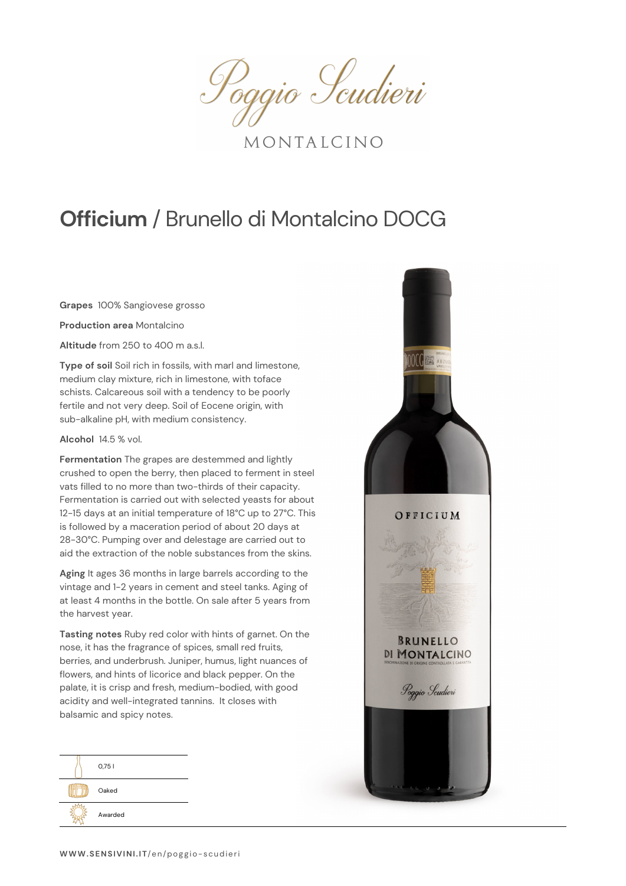Poggio Scudieri

MONTALCINO

## **Officium** / Brunello di Montalcino DOCG

**Grapes** 100% Sangiovese grosso

**Production area** Montalcino

**Altitude** from 250 to 400 m a.s.l.

**Type of soil** Soil rich in fossils, with marl and limestone, medium clay mixture, rich in limestone, with toface schists. Calcareous soil with a tendency to be poorly fertile and not very deep. Soil of Eocene origin, with sub-alkaline pH, with medium consistency.

## **Alcohol** 14.5 % vol.

**Fermentation** The grapes are destemmed and lightly crushed to open the berry, then placed to ferment in steel vats filled to no more than two-thirds of their capacity. Fermentation is carried out with selected yeasts for about 12-15 days at an initial temperature of 18°C up to 27°C. This is followed by a maceration period of about 20 days at 28-30°C. Pumping over and delestage are carried out to aid the extraction of the noble substances from the skins.

**Aging** It ages 36 months in large barrels according to the vintage and 1-2 years in cement and steel tanks. Aging of at least 4 months in the bottle. On sale after 5 years from the harvest year.

**Tasting notes** Ruby red color with hints of garnet. On the nose, it has the fragrance of spices, small red fruits, berries, and underbrush. Juniper, humus, light nuances of flowers, and hints of licorice and black pepper. On the palate, it is crisp and fresh, medium-bodied, with good acidity and well-integrated tannins. It closes with balsamic and spicy notes.